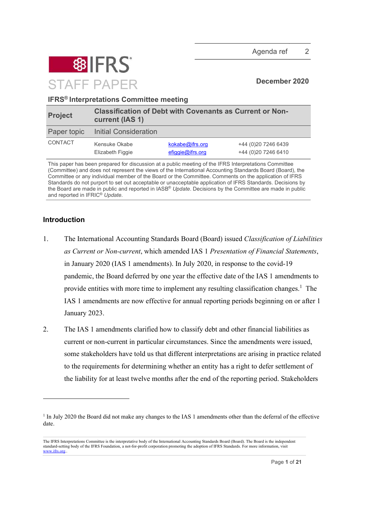

IFRS® Interpretations Committee meeting

| <b>Project</b> | <b>Classification of Debt with Covenants as Current or Non-</b><br>current (IAS 1) |                                        |                                             |  |  |
|----------------|------------------------------------------------------------------------------------|----------------------------------------|---------------------------------------------|--|--|
| Paper topic    | <b>Initial Consideration</b>                                                       |                                        |                                             |  |  |
| CONTACT        | Kensuke Okabe<br>Elizabeth Figgie                                                  | kokabe@ifrs.org<br>$e$ figgie@ifrs.org | +44 (0)20 7246 6439<br>+44 (0) 20 7246 6410 |  |  |

This paper has been prepared for discussion at a public meeting of the IFRS Interpretations Committee (Committee) and does not represent the views of the International Accounting Standards Board (Board), the Committee or any individual member of the Board or the Committee. Comments on the application of IFRS Standards do not purport to set out acceptable or unacceptable application of IFRS Standards. Decisions by the Board are made in public and reported in IASB<sup>®</sup> Update. Decisions by the Committee are made in public and reported in IFRIC<sup>®</sup> Update.

## Introduction

- 1. The International Accounting Standards Board (Board) issued Classification of Liabilities as Current or Non-current, which amended IAS 1 Presentation of Financial Statements, in January 2020 (IAS 1 amendments). In July 2020, in response to the covid-19 pandemic, the Board deferred by one year the effective date of the IAS 1 amendments to provide entities with more time to implement any resulting classification changes.<sup>1</sup> The IAS 1 amendments are now effective for annual reporting periods beginning on or after 1 January 2023.
- 2. The IAS 1 amendments clarified how to classify debt and other financial liabilities as current or non-current in particular circumstances. Since the amendments were issued, some stakeholders have told us that different interpretations are arising in practice related to the requirements for determining whether an entity has a right to defer settlement of the liability for at least twelve months after the end of the reporting period. Stakeholders

<sup>&</sup>lt;sup>1</sup> In July 2020 the Board did not make any changes to the IAS 1 amendments other than the deferral of the effective date.

The IFRS Interpretations Committee is the interpretative body of the International Accounting Standards Board (Board). The Board is the independent standard-setting body of the IFRS Foundation, a not-for-profit corporation promoting the adoption of IFRS Standards. For more information, visit www.ifrs.org..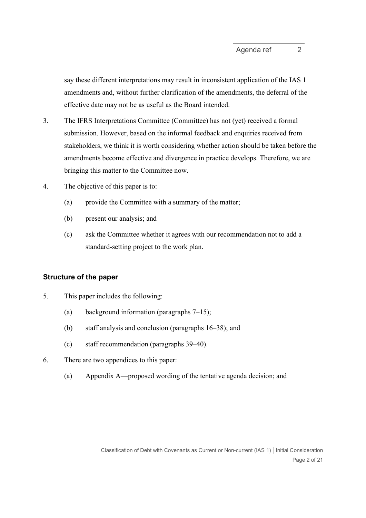say these different interpretations may result in inconsistent application of the IAS 1 amendments and, without further clarification of the amendments, the deferral of the effective date may not be as useful as the Board intended.

- 3. The IFRS Interpretations Committee (Committee) has not (yet) received a formal submission. However, based on the informal feedback and enquiries received from stakeholders, we think it is worth considering whether action should be taken before the amendments become effective and divergence in practice develops. Therefore, we are bringing this matter to the Committee now.
- 4. The objective of this paper is to:
	- (a) provide the Committee with a summary of the matter;
	- (b) present our analysis; and
	- (c) ask the Committee whether it agrees with our recommendation not to add a standard-setting project to the work plan.

## Structure of the paper

- 5. This paper includes the following:
	- (a) background information (paragraphs 7–15);
	- (b) staff analysis and conclusion (paragraphs 16–38); and
	- (c) staff recommendation (paragraphs 39–40).
- 6. There are two appendices to this paper:
	- (a) Appendix A—proposed wording of the tentative agenda decision; and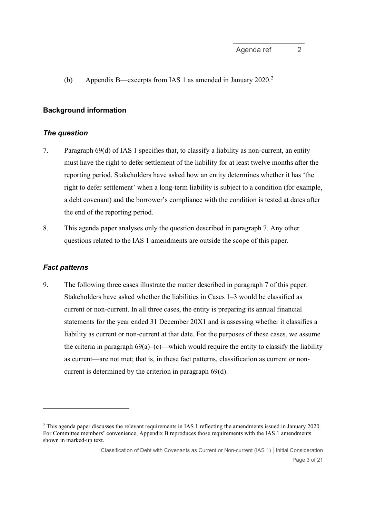(b) Appendix B—excerpts from IAS 1 as amended in January 2020.<sup>2</sup>

#### Background information

#### The question

- 7. Paragraph 69(d) of IAS 1 specifies that, to classify a liability as non-current, an entity must have the right to defer settlement of the liability for at least twelve months after the reporting period. Stakeholders have asked how an entity determines whether it has 'the right to defer settlement' when a long-term liability is subject to a condition (for example, a debt covenant) and the borrower's compliance with the condition is tested at dates after the end of the reporting period.
- 8. This agenda paper analyses only the question described in paragraph 7. Any other questions related to the IAS 1 amendments are outside the scope of this paper.

#### Fact patterns

9. The following three cases illustrate the matter described in paragraph 7 of this paper. Stakeholders have asked whether the liabilities in Cases 1–3 would be classified as current or non-current. In all three cases, the entity is preparing its annual financial statements for the year ended 31 December 20X1 and is assessing whether it classifies a liability as current or non-current at that date. For the purposes of these cases, we assume the criteria in paragraph  $69(a)$ –(c)—which would require the entity to classify the liability as current—are not met; that is, in these fact patterns, classification as current or noncurrent is determined by the criterion in paragraph 69(d).

<sup>&</sup>lt;sup>2</sup> This agenda paper discusses the relevant requirements in IAS 1 reflecting the amendments issued in January 2020. For Committee members' convenience, Appendix B reproduces those requirements with the IAS 1 amendments shown in marked-up text.

Classification of Debt with Covenants as Current or Non-current (IAS 1) │Initial Consideration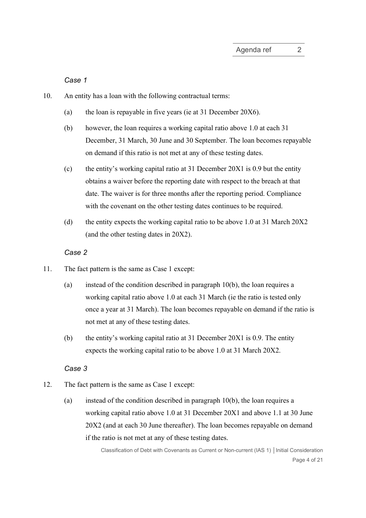Case 1

- 10. An entity has a loan with the following contractual terms:
	- (a) the loan is repayable in five years (ie at 31 December 20X6).
	- (b) however, the loan requires a working capital ratio above 1.0 at each 31 December, 31 March, 30 June and 30 September. The loan becomes repayable on demand if this ratio is not met at any of these testing dates.
	- (c) the entity's working capital ratio at 31 December 20X1 is 0.9 but the entity obtains a waiver before the reporting date with respect to the breach at that date. The waiver is for three months after the reporting period. Compliance with the covenant on the other testing dates continues to be required.
	- (d) the entity expects the working capital ratio to be above 1.0 at 31 March 20X2 (and the other testing dates in 20X2).

## Case 2

- 11. The fact pattern is the same as Case 1 except:
	- (a) instead of the condition described in paragraph 10(b), the loan requires a working capital ratio above 1.0 at each 31 March (ie the ratio is tested only once a year at 31 March). The loan becomes repayable on demand if the ratio is not met at any of these testing dates.
	- (b) the entity's working capital ratio at 31 December 20X1 is 0.9. The entity expects the working capital ratio to be above 1.0 at 31 March 20X2.

#### Case 3

- 12. The fact pattern is the same as Case 1 except:
	- (a) instead of the condition described in paragraph 10(b), the loan requires a working capital ratio above 1.0 at 31 December 20X1 and above 1.1 at 30 June 20X2 (and at each 30 June thereafter). The loan becomes repayable on demand if the ratio is not met at any of these testing dates.

Classification of Debt with Covenants as Current or Non-current (IAS 1) │Initial Consideration Page 4 of 21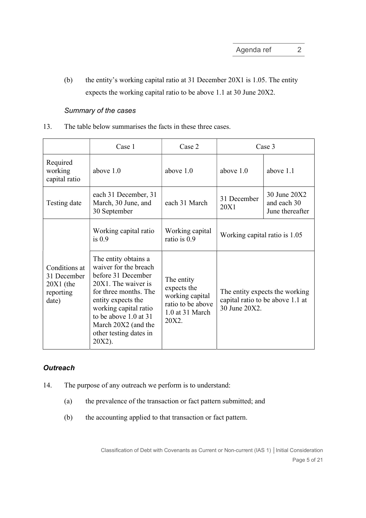(b) the entity's working capital ratio at 31 December 20X1 is 1.05. The entity expects the working capital ratio to be above 1.1 at 30 June 20X2.

#### Summary of the cases

13. The table below summarises the facts in these three cases.

|                                                                   | Case 1                                                                                                                                                                                                                                                 | Case 2                                                                                        | Case 3                                                                              |                                                |
|-------------------------------------------------------------------|--------------------------------------------------------------------------------------------------------------------------------------------------------------------------------------------------------------------------------------------------------|-----------------------------------------------------------------------------------------------|-------------------------------------------------------------------------------------|------------------------------------------------|
| Required<br>working<br>capital ratio                              | above 1.0                                                                                                                                                                                                                                              | above 1.0                                                                                     | above $1.0$                                                                         | above 1.1                                      |
| Testing date                                                      | each 31 December, 31<br>March, 30 June, and<br>30 September                                                                                                                                                                                            | each 31 March                                                                                 | 31 December<br>20X1                                                                 | 30 June 20X2<br>and each 30<br>June thereafter |
|                                                                   | Working capital ratio<br>is $0.9$                                                                                                                                                                                                                      | Working capital<br>ratio is 0.9                                                               | Working capital ratio is 1.05                                                       |                                                |
| Conditions at<br>31 December<br>$20X1$ (the<br>reporting<br>date) | The entity obtains a<br>waiver for the breach<br>before 31 December<br>20X1. The waiver is<br>for three months. The<br>entity expects the<br>working capital ratio<br>to be above 1.0 at 31<br>March 20X2 (and the<br>other testing dates in<br>20X2). | The entity<br>expects the<br>working capital<br>ratio to be above<br>1.0 at 31 March<br>20X2. | The entity expects the working<br>capital ratio to be above 1.1 at<br>30 June 20X2. |                                                |

## **Outreach**

- 14. The purpose of any outreach we perform is to understand:
	- (a) the prevalence of the transaction or fact pattern submitted; and
	- (b) the accounting applied to that transaction or fact pattern.

Classification of Debt with Covenants as Current or Non-current (IAS 1) │Initial Consideration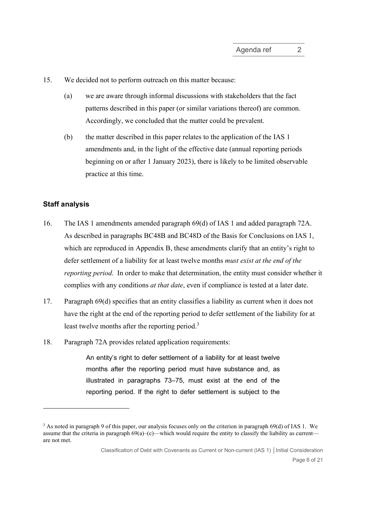15. We decided not to perform outreach on this matter because:

- (a) we are aware through informal discussions with stakeholders that the fact patterns described in this paper (or similar variations thereof) are common. Accordingly, we concluded that the matter could be prevalent.
- (b) the matter described in this paper relates to the application of the IAS 1 amendments and, in the light of the effective date (annual reporting periods beginning on or after 1 January 2023), there is likely to be limited observable practice at this time.

#### Staff analysis

- 16. The IAS 1 amendments amended paragraph 69(d) of IAS 1 and added paragraph 72A. As described in paragraphs BC48B and BC48D of the Basis for Conclusions on IAS 1, which are reproduced in Appendix B, these amendments clarify that an entity's right to defer settlement of a liability for at least twelve months *must exist at the end of the* reporting period. In order to make that determination, the entity must consider whether it complies with any conditions at that date, even if compliance is tested at a later date.
- 17. Paragraph 69(d) specifies that an entity classifies a liability as current when it does not have the right at the end of the reporting period to defer settlement of the liability for at least twelve months after the reporting period.<sup>3</sup>
- 18. Paragraph 72A provides related application requirements:

An entity's right to defer settlement of a liability for at least twelve months after the reporting period must have substance and, as illustrated in paragraphs 73–75, must exist at the end of the reporting period. If the right to defer settlement is subject to the

<sup>3</sup> As noted in paragraph 9 of this paper, our analysis focuses only on the criterion in paragraph 69(d) of IAS 1. We assume that the criteria in paragraph  $69(a)$ –(c)—which would require the entity to classify the liability as current are not met.

Classification of Debt with Covenants as Current or Non-current (IAS 1) │Initial Consideration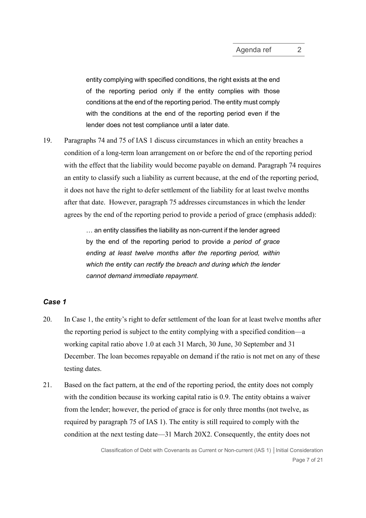entity complying with specified conditions, the right exists at the end of the reporting period only if the entity complies with those conditions at the end of the reporting period. The entity must comply with the conditions at the end of the reporting period even if the lender does not test compliance until a later date.

19. Paragraphs 74 and 75 of IAS 1 discuss circumstances in which an entity breaches a condition of a long-term loan arrangement on or before the end of the reporting period with the effect that the liability would become payable on demand. Paragraph 74 requires an entity to classify such a liability as current because, at the end of the reporting period, it does not have the right to defer settlement of the liability for at least twelve months after that date. However, paragraph 75 addresses circumstances in which the lender agrees by the end of the reporting period to provide a period of grace (emphasis added):

> … an entity classifies the liability as non-current if the lender agreed by the end of the reporting period to provide a period of grace ending at least twelve months after the reporting period, within which the entity can rectify the breach and during which the lender cannot demand immediate repayment.

## Case 1

- 20. In Case 1, the entity's right to defer settlement of the loan for at least twelve months after the reporting period is subject to the entity complying with a specified condition—a working capital ratio above 1.0 at each 31 March, 30 June, 30 September and 31 December. The loan becomes repayable on demand if the ratio is not met on any of these testing dates.
- 21. Based on the fact pattern, at the end of the reporting period, the entity does not comply with the condition because its working capital ratio is 0.9. The entity obtains a waiver from the lender; however, the period of grace is for only three months (not twelve, as required by paragraph 75 of IAS 1). The entity is still required to comply with the condition at the next testing date—31 March 20X2. Consequently, the entity does not

Classification of Debt with Covenants as Current or Non-current (IAS 1) │Initial Consideration Page 7 of 21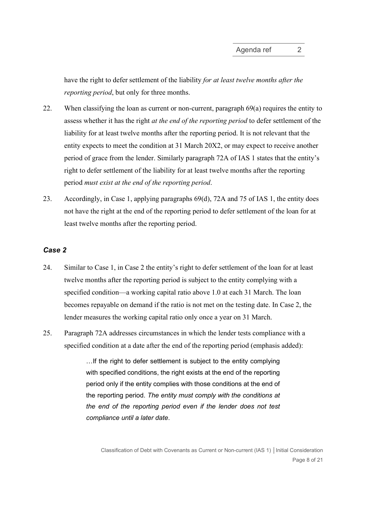have the right to defer settlement of the liability for at least twelve months after the reporting period, but only for three months.

- 22. When classifying the loan as current or non-current, paragraph 69(a) requires the entity to assess whether it has the right *at the end of the reporting period* to defer settlement of the liability for at least twelve months after the reporting period. It is not relevant that the entity expects to meet the condition at 31 March 20X2, or may expect to receive another period of grace from the lender. Similarly paragraph 72A of IAS 1 states that the entity's right to defer settlement of the liability for at least twelve months after the reporting period must exist at the end of the reporting period.
- 23. Accordingly, in Case 1, applying paragraphs 69(d), 72A and 75 of IAS 1, the entity does not have the right at the end of the reporting period to defer settlement of the loan for at least twelve months after the reporting period.

## Case 2

- 24. Similar to Case 1, in Case 2 the entity's right to defer settlement of the loan for at least twelve months after the reporting period is subject to the entity complying with a specified condition—a working capital ratio above 1.0 at each 31 March. The loan becomes repayable on demand if the ratio is not met on the testing date. In Case 2, the lender measures the working capital ratio only once a year on 31 March.
- 25. Paragraph 72A addresses circumstances in which the lender tests compliance with a specified condition at a date after the end of the reporting period (emphasis added):

…If the right to defer settlement is subject to the entity complying with specified conditions, the right exists at the end of the reporting period only if the entity complies with those conditions at the end of the reporting period. The entity must comply with the conditions at the end of the reporting period even if the lender does not test compliance until a later date.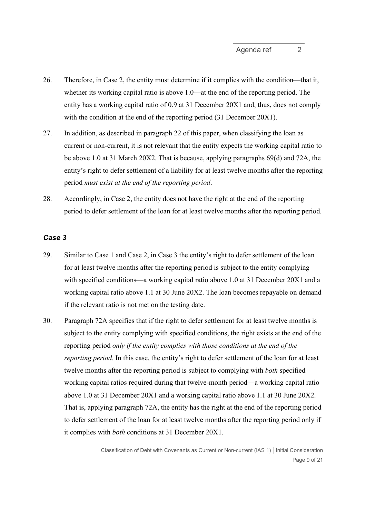- 26. Therefore, in Case 2, the entity must determine if it complies with the condition—that it, whether its working capital ratio is above 1.0—at the end of the reporting period. The entity has a working capital ratio of 0.9 at 31 December 20X1 and, thus, does not comply with the condition at the end of the reporting period (31 December 20X1).
- 27. In addition, as described in paragraph 22 of this paper, when classifying the loan as current or non-current, it is not relevant that the entity expects the working capital ratio to be above 1.0 at 31 March 20X2. That is because, applying paragraphs 69(d) and 72A, the entity's right to defer settlement of a liability for at least twelve months after the reporting period must exist at the end of the reporting period.
- 28. Accordingly, in Case 2, the entity does not have the right at the end of the reporting period to defer settlement of the loan for at least twelve months after the reporting period.

#### Case 3

- 29. Similar to Case 1 and Case 2, in Case 3 the entity's right to defer settlement of the loan for at least twelve months after the reporting period is subject to the entity complying with specified conditions—a working capital ratio above 1.0 at 31 December 20X1 and a working capital ratio above 1.1 at 30 June 20X2. The loan becomes repayable on demand if the relevant ratio is not met on the testing date.
- 30. Paragraph 72A specifies that if the right to defer settlement for at least twelve months is subject to the entity complying with specified conditions, the right exists at the end of the reporting period only if the entity complies with those conditions at the end of the reporting period. In this case, the entity's right to defer settlement of the loan for at least twelve months after the reporting period is subject to complying with both specified working capital ratios required during that twelve-month period—a working capital ratio above 1.0 at 31 December 20X1 and a working capital ratio above 1.1 at 30 June 20X2. That is, applying paragraph 72A, the entity has the right at the end of the reporting period to defer settlement of the loan for at least twelve months after the reporting period only if it complies with both conditions at 31 December 20X1.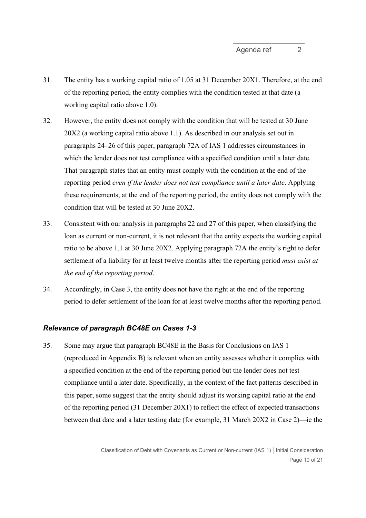- 31. The entity has a working capital ratio of 1.05 at 31 December 20X1. Therefore, at the end of the reporting period, the entity complies with the condition tested at that date (a working capital ratio above 1.0).
- 32. However, the entity does not comply with the condition that will be tested at 30 June 20X2 (a working capital ratio above 1.1). As described in our analysis set out in paragraphs 24–26 of this paper, paragraph 72A of IAS 1 addresses circumstances in which the lender does not test compliance with a specified condition until a later date. That paragraph states that an entity must comply with the condition at the end of the reporting period even if the lender does not test compliance until a later date. Applying these requirements, at the end of the reporting period, the entity does not comply with the condition that will be tested at 30 June 20X2.
- 33. Consistent with our analysis in paragraphs 22 and 27 of this paper, when classifying the loan as current or non-current, it is not relevant that the entity expects the working capital ratio to be above 1.1 at 30 June 20X2. Applying paragraph 72A the entity's right to defer settlement of a liability for at least twelve months after the reporting period *must exist at* the end of the reporting period.
- 34. Accordingly, in Case 3, the entity does not have the right at the end of the reporting period to defer settlement of the loan for at least twelve months after the reporting period.

#### Relevance of paragraph BC48E on Cases 1-3

35. Some may argue that paragraph BC48E in the Basis for Conclusions on IAS 1 (reproduced in Appendix B) is relevant when an entity assesses whether it complies with a specified condition at the end of the reporting period but the lender does not test compliance until a later date. Specifically, in the context of the fact patterns described in this paper, some suggest that the entity should adjust its working capital ratio at the end of the reporting period (31 December 20X1) to reflect the effect of expected transactions between that date and a later testing date (for example, 31 March 20X2 in Case 2)—ie the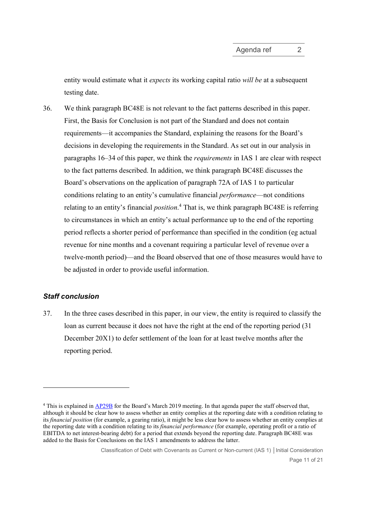entity would estimate what it *expects* its working capital ratio will be at a subsequent testing date.

36. We think paragraph BC48E is not relevant to the fact patterns described in this paper. First, the Basis for Conclusion is not part of the Standard and does not contain requirements—it accompanies the Standard, explaining the reasons for the Board's decisions in developing the requirements in the Standard. As set out in our analysis in paragraphs 16–34 of this paper, we think the requirements in IAS 1 are clear with respect to the fact patterns described. In addition, we think paragraph BC48E discusses the Board's observations on the application of paragraph 72A of IAS 1 to particular conditions relating to an entity's cumulative financial performance—not conditions relating to an entity's financial *position*.<sup>4</sup> That is, we think paragraph BC48E is referring to circumstances in which an entity's actual performance up to the end of the reporting period reflects a shorter period of performance than specified in the condition (eg actual revenue for nine months and a covenant requiring a particular level of revenue over a twelve-month period)—and the Board observed that one of those measures would have to be adjusted in order to provide useful information.

## Staff conclusion

37. In the three cases described in this paper, in our view, the entity is required to classify the loan as current because it does not have the right at the end of the reporting period (31 December 20X1) to defer settlement of the loan for at least twelve months after the reporting period.

<sup>&</sup>lt;sup>4</sup> This is explained in AP29B for the Board's March 2019 meeting. In that agenda paper the staff observed that, although it should be clear how to assess whether an entity complies at the reporting date with a condition relating to its financial position (for example, a gearing ratio), it might be less clear how to assess whether an entity complies at the reporting date with a condition relating to its *financial performance* (for example, operating profit or a ratio of EBITDA to net interest-bearing debt) for a period that extends beyond the reporting date. Paragraph BC48E was added to the Basis for Conclusions on the IAS 1 amendments to address the latter.

Classification of Debt with Covenants as Current or Non-current (IAS 1) │Initial Consideration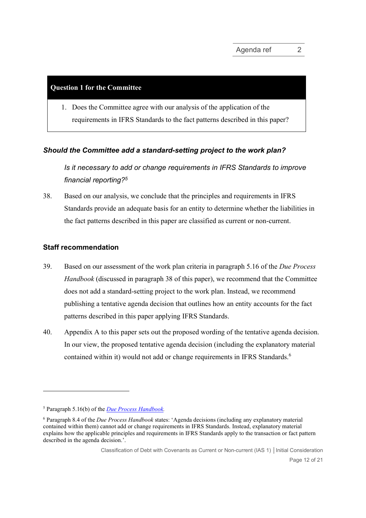#### Question 1 for the Committee

1. Does the Committee agree with our analysis of the application of the requirements in IFRS Standards to the fact patterns described in this paper?

## Should the Committee add a standard-setting project to the work plan?

Is it necessary to add or change requirements in IFRS Standards to improve financial reporting?<sup>5</sup>

38. Based on our analysis, we conclude that the principles and requirements in IFRS Standards provide an adequate basis for an entity to determine whether the liabilities in the fact patterns described in this paper are classified as current or non-current.

## Staff recommendation

- 39. Based on our assessment of the work plan criteria in paragraph 5.16 of the *Due Process* Handbook (discussed in paragraph 38 of this paper), we recommend that the Committee does not add a standard-setting project to the work plan. Instead, we recommend publishing a tentative agenda decision that outlines how an entity accounts for the fact patterns described in this paper applying IFRS Standards.
- 40. Appendix A to this paper sets out the proposed wording of the tentative agenda decision. In our view, the proposed tentative agenda decision (including the explanatory material contained within it) would not add or change requirements in IFRS Standards.<sup>6</sup>

<sup>&</sup>lt;sup>5</sup> Paragraph 5.16(b) of the *Due Process Handbook*.

<sup>&</sup>lt;sup>6</sup> Paragraph 8.4 of the *Due Process Handbook* states: 'Agenda decisions (including any explanatory material contained within them) cannot add or change requirements in IFRS Standards. Instead, explanatory material explains how the applicable principles and requirements in IFRS Standards apply to the transaction or fact pattern described in the agenda decision.'.

Classification of Debt with Covenants as Current or Non-current (IAS 1) │Initial Consideration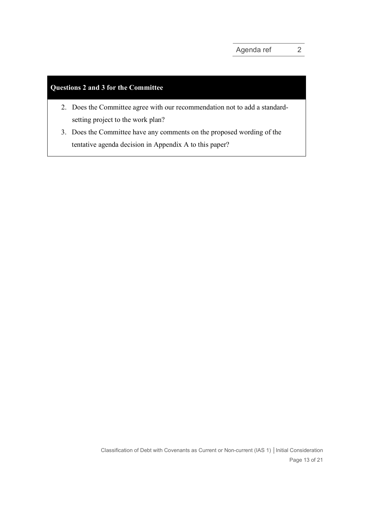# Questions 2 and 3 for the Committee

- 2. Does the Committee agree with our recommendation not to add a standardsetting project to the work plan?
- 3. Does the Committee have any comments on the proposed wording of the tentative agenda decision in Appendix A to this paper?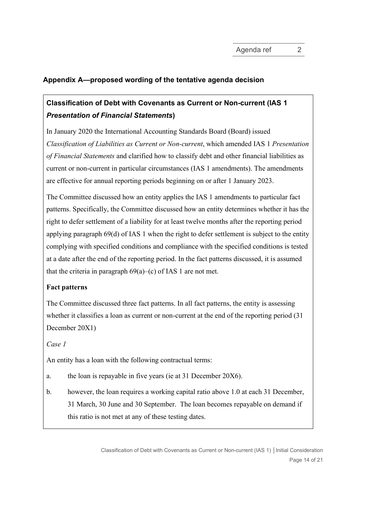# Appendix A—proposed wording of the tentative agenda decision

# Classification of Debt with Covenants as Current or Non-current (IAS 1 Presentation of Financial Statements)

In January 2020 the International Accounting Standards Board (Board) issued Classification of Liabilities as Current or Non-current, which amended IAS 1 Presentation of Financial Statements and clarified how to classify debt and other financial liabilities as current or non-current in particular circumstances (IAS 1 amendments). The amendments are effective for annual reporting periods beginning on or after 1 January 2023.

The Committee discussed how an entity applies the IAS 1 amendments to particular fact patterns. Specifically, the Committee discussed how an entity determines whether it has the right to defer settlement of a liability for at least twelve months after the reporting period applying paragraph 69(d) of IAS 1 when the right to defer settlement is subject to the entity complying with specified conditions and compliance with the specified conditions is tested at a date after the end of the reporting period. In the fact patterns discussed, it is assumed that the criteria in paragraph  $69(a)$ –(c) of IAS 1 are not met.

## Fact patterns

The Committee discussed three fact patterns. In all fact patterns, the entity is assessing whether it classifies a loan as current or non-current at the end of the reporting period (31 December 20X1)

## Case 1

An entity has a loan with the following contractual terms:

a. the loan is repayable in five years (ie at 31 December 20X6).

b. however, the loan requires a working capital ratio above 1.0 at each 31 December, 31 March, 30 June and 30 September. The loan becomes repayable on demand if this ratio is not met at any of these testing dates.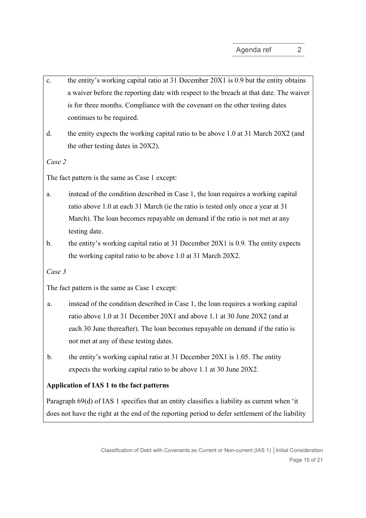- c. the entity's working capital ratio at 31 December 20X1 is 0.9 but the entity obtains a waiver before the reporting date with respect to the breach at that date. The waiver is for three months. Compliance with the covenant on the other testing dates continues to be required.
- d. the entity expects the working capital ratio to be above 1.0 at 31 March 20X2 (and the other testing dates in 20X2).

Case 2

The fact pattern is the same as Case 1 except:

- a. instead of the condition described in Case 1, the loan requires a working capital ratio above 1.0 at each 31 March (ie the ratio is tested only once a year at 31 March). The loan becomes repayable on demand if the ratio is not met at any testing date.
- b. the entity's working capital ratio at 31 December 20X1 is 0.9. The entity expects the working capital ratio to be above 1.0 at 31 March 20X2.

Case 3

The fact pattern is the same as Case 1 except:

- a. instead of the condition described in Case 1, the loan requires a working capital ratio above 1.0 at 31 December 20X1 and above 1.1 at 30 June 20X2 (and at each 30 June thereafter). The loan becomes repayable on demand if the ratio is not met at any of these testing dates.
- b. the entity's working capital ratio at 31 December 20X1 is 1.05. The entity expects the working capital ratio to be above 1.1 at 30 June 20X2.

## Application of IAS 1 to the fact patterns

Paragraph 69(d) of IAS 1 specifies that an entity classifies a liability as current when 'it does not have the right at the end of the reporting period to defer settlement of the liability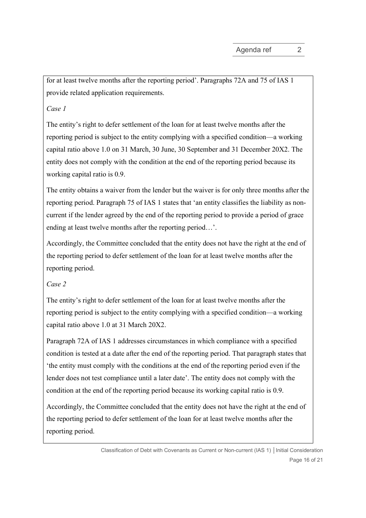for at least twelve months after the reporting period'. Paragraphs 72A and 75 of IAS 1 provide related application requirements.

## Case 1

The entity's right to defer settlement of the loan for at least twelve months after the reporting period is subject to the entity complying with a specified condition—a working capital ratio above 1.0 on 31 March, 30 June, 30 September and 31 December 20X2. The entity does not comply with the condition at the end of the reporting period because its working capital ratio is 0.9.

The entity obtains a waiver from the lender but the waiver is for only three months after the reporting period. Paragraph 75 of IAS 1 states that 'an entity classifies the liability as noncurrent if the lender agreed by the end of the reporting period to provide a period of grace ending at least twelve months after the reporting period…'.

Accordingly, the Committee concluded that the entity does not have the right at the end of the reporting period to defer settlement of the loan for at least twelve months after the reporting period.

## Case 2

The entity's right to defer settlement of the loan for at least twelve months after the reporting period is subject to the entity complying with a specified condition—a working capital ratio above 1.0 at 31 March 20X2.

Paragraph 72A of IAS 1 addresses circumstances in which compliance with a specified condition is tested at a date after the end of the reporting period. That paragraph states that 'the entity must comply with the conditions at the end of the reporting period even if the lender does not test compliance until a later date'. The entity does not comply with the condition at the end of the reporting period because its working capital ratio is 0.9.

Accordingly, the Committee concluded that the entity does not have the right at the end of the reporting period to defer settlement of the loan for at least twelve months after the reporting period.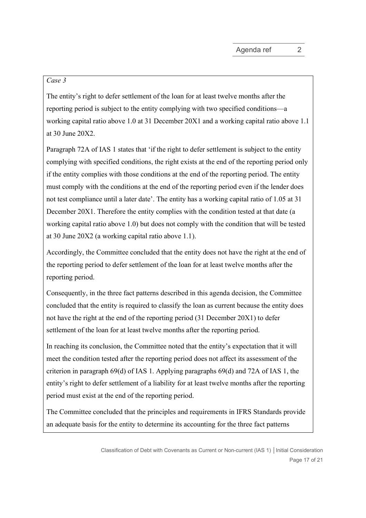#### Case 3

The entity's right to defer settlement of the loan for at least twelve months after the reporting period is subject to the entity complying with two specified conditions—a working capital ratio above 1.0 at 31 December 20X1 and a working capital ratio above 1.1 at 30 June 20X2.

Paragraph 72A of IAS 1 states that 'if the right to defer settlement is subject to the entity complying with specified conditions, the right exists at the end of the reporting period only if the entity complies with those conditions at the end of the reporting period. The entity must comply with the conditions at the end of the reporting period even if the lender does not test compliance until a later date'. The entity has a working capital ratio of 1.05 at 31 December 20X1. Therefore the entity complies with the condition tested at that date (a working capital ratio above 1.0) but does not comply with the condition that will be tested at 30 June 20X2 (a working capital ratio above 1.1).

Accordingly, the Committee concluded that the entity does not have the right at the end of the reporting period to defer settlement of the loan for at least twelve months after the reporting period.

Consequently, in the three fact patterns described in this agenda decision, the Committee concluded that the entity is required to classify the loan as current because the entity does not have the right at the end of the reporting period (31 December 20X1) to defer settlement of the loan for at least twelve months after the reporting period.

In reaching its conclusion, the Committee noted that the entity's expectation that it will meet the condition tested after the reporting period does not affect its assessment of the criterion in paragraph 69(d) of IAS 1. Applying paragraphs 69(d) and 72A of IAS 1, the entity's right to defer settlement of a liability for at least twelve months after the reporting period must exist at the end of the reporting period.

The Committee concluded that the principles and requirements in IFRS Standards provide an adequate basis for the entity to determine its accounting for the three fact patterns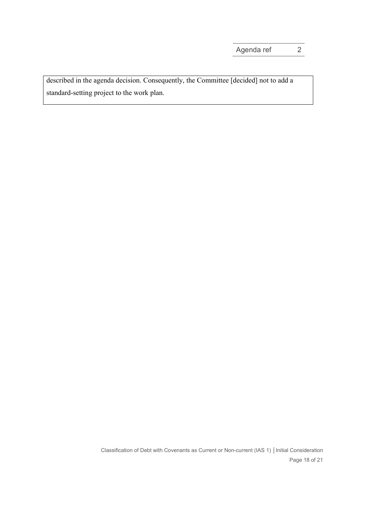described in the agenda decision. Consequently, the Committee [decided] not to add a standard-setting project to the work plan.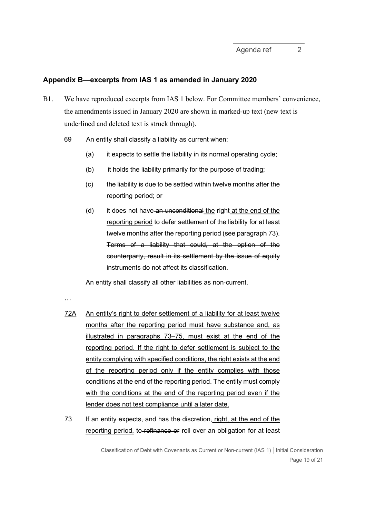#### Appendix B—excerpts from IAS 1 as amended in January 2020

- B1. We have reproduced excerpts from IAS 1 below. For Committee members' convenience, the amendments issued in January 2020 are shown in marked-up text (new text is underlined and deleted text is struck through).
	- 69 An entity shall classify a liability as current when:
		- (a) it expects to settle the liability in its normal operating cycle;
		- (b) it holds the liability primarily for the purpose of trading;
		- (c) the liability is due to be settled within twelve months after the reporting period; or
		- (d) it does not have an unconditional the right at the end of the reporting period to defer settlement of the liability for at least twelve months after the reporting period (see paragraph 73). Terms of a liability that could, at the option of the counterparty, result in its settlement by the issue of equity instruments do not affect its classification.

An entity shall classify all other liabilities as non‑current.

…

- 72A An entity's right to defer settlement of a liability for at least twelve months after the reporting period must have substance and, as illustrated in paragraphs 73–75, must exist at the end of the reporting period. If the right to defer settlement is subject to the entity complying with specified conditions, the right exists at the end of the reporting period only if the entity complies with those conditions at the end of the reporting period. The entity must comply with the conditions at the end of the reporting period even if the lender does not test compliance until a later date.
- 73 If an entity expects, and has the discretion, right, at the end of the reporting period, to refinance or roll over an obligation for at least

Classification of Debt with Covenants as Current or Non-current (IAS 1) │Initial Consideration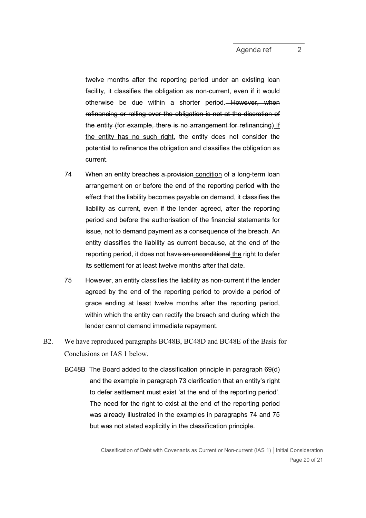twelve months after the reporting period under an existing loan facility, it classifies the obligation as non-current, even if it would otherwise be due within a shorter period. However, when refinancing or rolling over the obligation is not at the discretion of the entity (for example, there is no arrangement for refinancing) If the entity has no such right, the entity does not consider the potential to refinance the obligation and classifies the obligation as current.

- 74 When an entity breaches a-provision condition of a long-term loan arrangement on or before the end of the reporting period with the effect that the liability becomes payable on demand, it classifies the liability as current, even if the lender agreed, after the reporting period and before the authorisation of the financial statements for issue, not to demand payment as a consequence of the breach. An entity classifies the liability as current because, at the end of the reporting period, it does not have an unconditional the right to defer its settlement for at least twelve months after that date.
- 75 However, an entity classifies the liability as non‑current if the lender agreed by the end of the reporting period to provide a period of grace ending at least twelve months after the reporting period, within which the entity can rectify the breach and during which the lender cannot demand immediate repayment.
- B2. We have reproduced paragraphs BC48B, BC48D and BC48E of the Basis for Conclusions on IAS 1 below.
	- BC48B The Board added to the classification principle in paragraph 69(d) and the example in paragraph 73 clarification that an entity's right to defer settlement must exist 'at the end of the reporting period'. The need for the right to exist at the end of the reporting period was already illustrated in the examples in paragraphs 74 and 75 but was not stated explicitly in the classification principle.

Classification of Debt with Covenants as Current or Non-current (IAS 1) │Initial Consideration Page 20 of 21